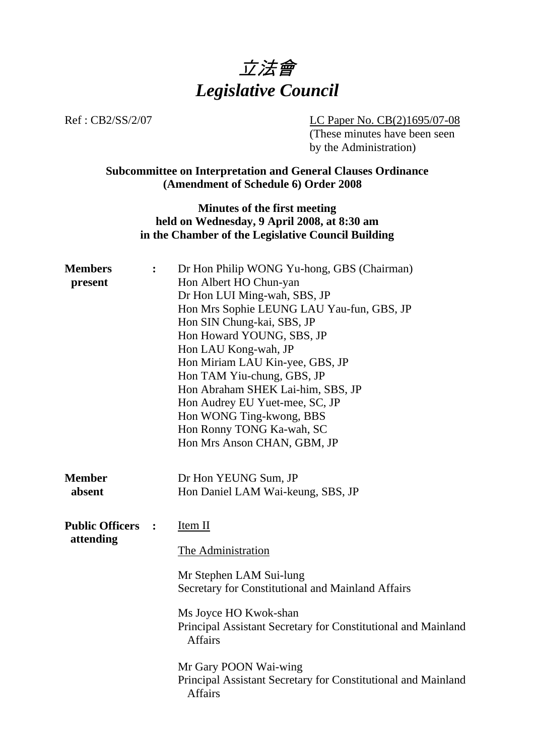

Ref : CB2/SS/2/07 LC Paper No. CB(2)1695/07-08 (These minutes have been seen by the Administration)

# **Subcommittee on Interpretation and General Clauses Ordinance (Amendment of Schedule 6) Order 2008**

### **Minutes of the first meeting held on Wednesday, 9 April 2008, at 8:30 am in the Chamber of the Legislative Council Building**

| <b>Members</b><br>present | $\ddot{\cdot}$ | Dr Hon Philip WONG Yu-hong, GBS (Chairman)<br>Hon Albert HO Chun-yan |  |  |  |
|---------------------------|----------------|----------------------------------------------------------------------|--|--|--|
|                           |                |                                                                      |  |  |  |
|                           |                | Dr Hon LUI Ming-wah, SBS, JP                                         |  |  |  |
|                           |                | Hon Mrs Sophie LEUNG LAU Yau-fun, GBS, JP                            |  |  |  |
|                           |                | Hon SIN Chung-kai, SBS, JP                                           |  |  |  |
|                           |                | Hon Howard YOUNG, SBS, JP                                            |  |  |  |
|                           |                | Hon LAU Kong-wah, JP                                                 |  |  |  |
|                           |                | Hon Miriam LAU Kin-yee, GBS, JP                                      |  |  |  |
|                           |                | Hon TAM Yiu-chung, GBS, JP                                           |  |  |  |
|                           |                | Hon Abraham SHEK Lai-him, SBS, JP                                    |  |  |  |
|                           |                | Hon Audrey EU Yuet-mee, SC, JP                                       |  |  |  |
|                           |                | Hon WONG Ting-kwong, BBS                                             |  |  |  |
|                           |                | Hon Ronny TONG Ka-wah, SC                                            |  |  |  |
|                           |                | Hon Mrs Anson CHAN, GBM, JP                                          |  |  |  |
|                           |                |                                                                      |  |  |  |
| <b>Member</b>             |                | Dr Hon YEUNG Sum, JP                                                 |  |  |  |
| absent                    |                | Hon Daniel LAM Wai-keung, SBS, JP                                    |  |  |  |
|                           |                |                                                                      |  |  |  |
| <b>Public Officers</b>    | $\ddot{\cdot}$ | Item II                                                              |  |  |  |
| attending                 |                |                                                                      |  |  |  |
|                           |                | The Administration                                                   |  |  |  |
|                           |                | Mr Stephen LAM Sui-lung                                              |  |  |  |
|                           |                | Secretary for Constitutional and Mainland Affairs                    |  |  |  |
|                           |                |                                                                      |  |  |  |
|                           |                | Ms Joyce HO Kwok-shan                                                |  |  |  |
|                           |                | Principal Assistant Secretary for Constitutional and Mainland        |  |  |  |
|                           |                | <b>Affairs</b>                                                       |  |  |  |
|                           |                | Mr Gary POON Wai-wing                                                |  |  |  |
|                           |                | Principal Assistant Secretary for Constitutional and Mainland        |  |  |  |
|                           |                | <b>Affairs</b>                                                       |  |  |  |
|                           |                |                                                                      |  |  |  |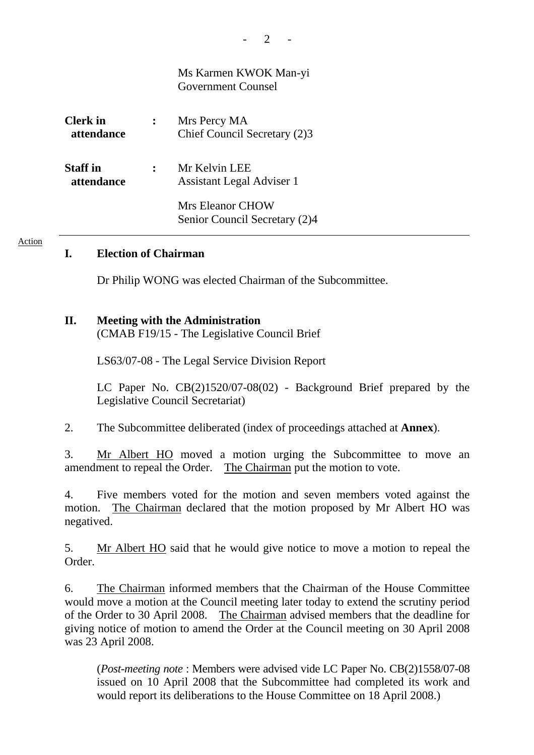|                               | Ms Karmen KWOK Man-yi<br><b>Government Counsel</b> |
|-------------------------------|----------------------------------------------------|
| Clerk in<br>attendance        | Mrs Percy MA<br>Chief Council Secretary (2)3       |
| <b>Staff</b> in<br>attendance | Mr Kelvin LEE<br>Assistant Legal Adviser 1         |
|                               | Mrs Eleanor CHOW<br>Senior Council Secretary (2)4  |

### **I. Election of Chairman**

Action

Dr Philip WONG was elected Chairman of the Subcommittee.

#### **II. Meeting with the Administration**

(CMAB F19/15 - The Legislative Council Brief

LS63/07-08 - The Legal Service Division Report

 LC Paper No. CB(2)1520/07-08(02) - Background Brief prepared by the Legislative Council Secretariat)

2. The Subcommittee deliberated (index of proceedings attached at **Annex**).

3. Mr Albert HO moved a motion urging the Subcommittee to move an amendment to repeal the Order. The Chairman put the motion to vote.

4. Five members voted for the motion and seven members voted against the motion. The Chairman declared that the motion proposed by Mr Albert HO was negatived.

5. Mr Albert HO said that he would give notice to move a motion to repeal the Order.

6. The Chairman informed members that the Chairman of the House Committee would move a motion at the Council meeting later today to extend the scrutiny period of the Order to 30 April 2008. The Chairman advised members that the deadline for giving notice of motion to amend the Order at the Council meeting on 30 April 2008 was 23 April 2008.

(*Post-meeting note* : Members were advised vide LC Paper No. CB(2)1558/07-08 issued on 10 April 2008 that the Subcommittee had completed its work and would report its deliberations to the House Committee on 18 April 2008.)

 $2 -$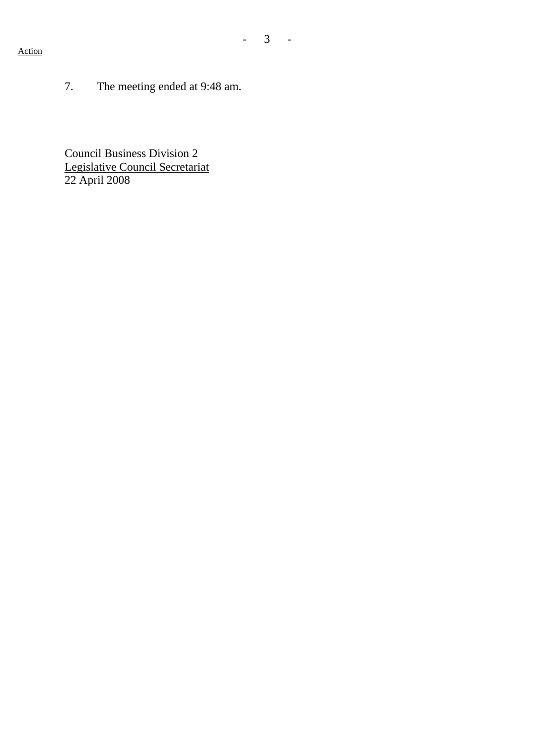#### Action

7. The meeting ended at 9:48 am.

Council Business Division 2 Legislative Council Secretariat 22 April 2008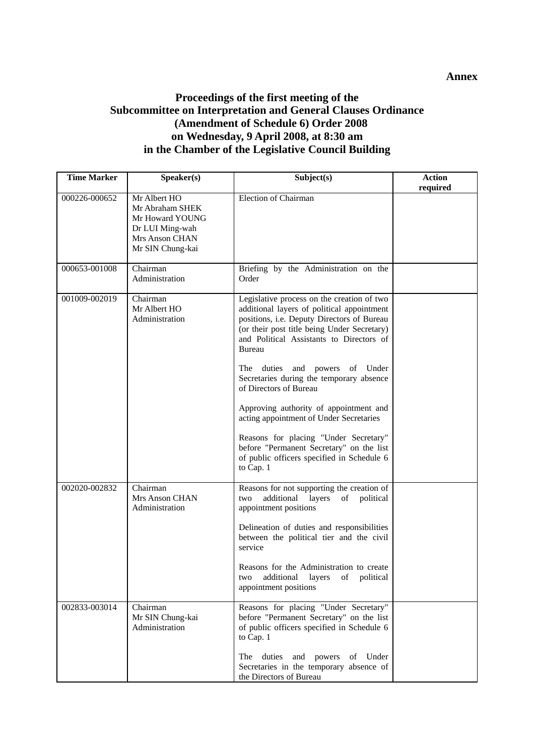## **Proceedings of the first meeting of the Subcommittee on Interpretation and General Clauses Ordinance (Amendment of Schedule 6) Order 2008 on Wednesday, 9 April 2008, at 8:30 am in the Chamber of the Legislative Council Building**

| <b>Time Marker</b> | Speaker(s)                                                                                                         | Subject(s)                                                                                                                                                                                                                                                                                                                                                                                                                                                                                                                                                                                         | <b>Action</b><br>required |
|--------------------|--------------------------------------------------------------------------------------------------------------------|----------------------------------------------------------------------------------------------------------------------------------------------------------------------------------------------------------------------------------------------------------------------------------------------------------------------------------------------------------------------------------------------------------------------------------------------------------------------------------------------------------------------------------------------------------------------------------------------------|---------------------------|
| 000226-000652      | Mr Albert HO<br>Mr Abraham SHEK<br>Mr Howard YOUNG<br>Dr LUI Ming-wah<br><b>Mrs Anson CHAN</b><br>Mr SIN Chung-kai | <b>Election of Chairman</b>                                                                                                                                                                                                                                                                                                                                                                                                                                                                                                                                                                        |                           |
| 000653-001008      | Chairman<br>Administration                                                                                         | Briefing by the Administration on the<br>Order                                                                                                                                                                                                                                                                                                                                                                                                                                                                                                                                                     |                           |
| 001009-002019      | Chairman<br>Mr Albert HO<br>Administration                                                                         | Legislative process on the creation of two<br>additional layers of political appointment<br>positions, i.e. Deputy Directors of Bureau<br>(or their post title being Under Secretary)<br>and Political Assistants to Directors of<br><b>Bureau</b><br>duties and powers of Under<br>The<br>Secretaries during the temporary absence<br>of Directors of Bureau<br>Approving authority of appointment and<br>acting appointment of Under Secretaries<br>Reasons for placing "Under Secretary"<br>before "Permanent Secretary" on the list<br>of public officers specified in Schedule 6<br>to Cap. 1 |                           |
| 002020-002832      | Chairman<br><b>Mrs Anson CHAN</b><br>Administration                                                                | Reasons for not supporting the creation of<br>additional<br>layers<br>political<br>of<br>two<br>appointment positions<br>Delineation of duties and responsibilities<br>between the political tier and the civil<br>service<br>Reasons for the Administration to create<br>two<br>additional<br>layers<br>political<br>ΟÌ<br>appointment positions                                                                                                                                                                                                                                                  |                           |
| 002833-003014      | Chairman<br>Mr SIN Chung-kai<br>Administration                                                                     | Reasons for placing "Under Secretary"<br>before "Permanent Secretary" on the list<br>of public officers specified in Schedule 6<br>to Cap. 1<br>duties and powers<br>of Under<br>The<br>Secretaries in the temporary absence of<br>the Directors of Bureau                                                                                                                                                                                                                                                                                                                                         |                           |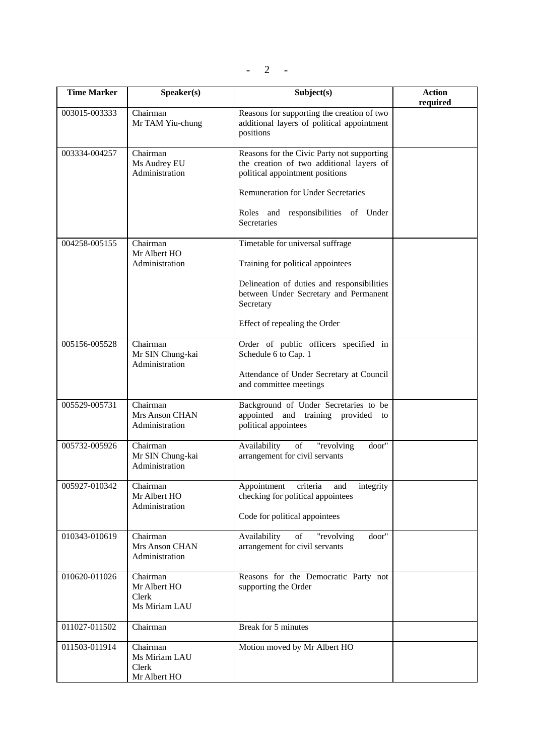$- 2 -$ 

| <b>Time Marker</b> | Speaker(s)                                         | Subject(s)                                                                                                                | <b>Action</b><br>required |
|--------------------|----------------------------------------------------|---------------------------------------------------------------------------------------------------------------------------|---------------------------|
| 003015-003333      | Chairman<br>Mr TAM Yiu-chung                       | Reasons for supporting the creation of two<br>additional layers of political appointment<br>positions                     |                           |
| 003334-004257      | Chairman<br>Ms Audrey EU<br>Administration         | Reasons for the Civic Party not supporting<br>the creation of two additional layers of<br>political appointment positions |                           |
|                    |                                                    | <b>Remuneration for Under Secretaries</b><br>Roles and responsibilities of Under<br><b>Secretaries</b>                    |                           |
| 004258-005155      | Chairman<br>Mr Albert HO                           | Timetable for universal suffrage                                                                                          |                           |
|                    | Administration                                     | Training for political appointees                                                                                         |                           |
|                    |                                                    | Delineation of duties and responsibilities<br>between Under Secretary and Permanent<br>Secretary                          |                           |
|                    |                                                    | Effect of repealing the Order                                                                                             |                           |
| 005156-005528      | Chairman<br>Mr SIN Chung-kai<br>Administration     | Order of public officers specified in<br>Schedule 6 to Cap. 1                                                             |                           |
|                    |                                                    | Attendance of Under Secretary at Council<br>and committee meetings                                                        |                           |
| 005529-005731      | Chairman<br>Mrs Anson CHAN<br>Administration       | Background of Under Secretaries to be<br>appointed and training provided<br>to<br>political appointees                    |                           |
| 005732-005926      | Chairman<br>Mr SIN Chung-kai<br>Administration     | Availability<br>of "revolving"<br>door"<br>arrangement for civil servants                                                 |                           |
| 005927-010342      | Chairman<br>Mr Albert HO<br>Administration         | Appointment<br>criteria<br>and<br>integrity<br>checking for political appointees                                          |                           |
|                    |                                                    | Code for political appointees                                                                                             |                           |
| 010343-010619      | Chairman<br>Mrs Anson CHAN<br>Administration       | door"<br>Availability<br>of<br>"revolving<br>arrangement for civil servants                                               |                           |
| 010620-011026      | Chairman<br>Mr Albert HO<br>Clerk                  | Reasons for the Democratic Party not<br>supporting the Order                                                              |                           |
|                    | Ms Miriam LAU                                      |                                                                                                                           |                           |
| 011027-011502      | Chairman                                           | Break for 5 minutes                                                                                                       |                           |
| 011503-011914      | Chairman<br>Ms Miriam LAU<br>Clerk<br>Mr Albert HO | Motion moved by Mr Albert HO                                                                                              |                           |